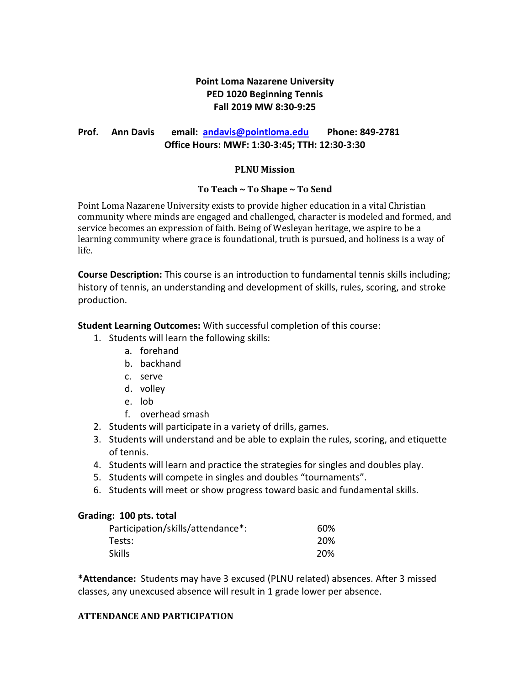# **Point Loma Nazarene University PED 1020 Beginning Tennis Fall 2019 MW 8:30-9:25**

# **Prof. Ann Davis email: [andavis@pointloma.edu](mailto:andavis@pointloma.edu) Phone: 849-2781 Office Hours: MWF: 1:30-3:45; TTH: 12:30-3:30**

## **PLNU Mission**

## **To Teach ~ To Shape ~ To Send**

Point Loma Nazarene University exists to provide higher education in a vital Christian community where minds are engaged and challenged, character is modeled and formed, and service becomes an expression of faith. Being of Wesleyan heritage, we aspire to be a learning community where grace is foundational, truth is pursued, and holiness is a way of life.

**Course Description:** This course is an introduction to fundamental tennis skills including; history of tennis, an understanding and development of skills, rules, scoring, and stroke production.

**Student Learning Outcomes:** With successful completion of this course:

- 1. Students will learn the following skills:
	- a. forehand
	- b. backhand
	- c. serve
	- d. volley
	- e. lob
	- f. overhead smash
- 2. Students will participate in a variety of drills, games.
- 3. Students will understand and be able to explain the rules, scoring, and etiquette of tennis.
- 4. Students will learn and practice the strategies for singles and doubles play.
- 5. Students will compete in singles and doubles "tournaments".
- 6. Students will meet or show progress toward basic and fundamental skills.

#### **Grading: 100 pts. total**

| Participation/skills/attendance*: | 60%  |
|-----------------------------------|------|
| Tests:                            | -20% |
| Skills                            | 20%  |

**\*Attendance:** Students may have 3 excused (PLNU related) absences. After 3 missed classes, any unexcused absence will result in 1 grade lower per absence.

#### **ATTENDANCE AND PARTICIPATION**